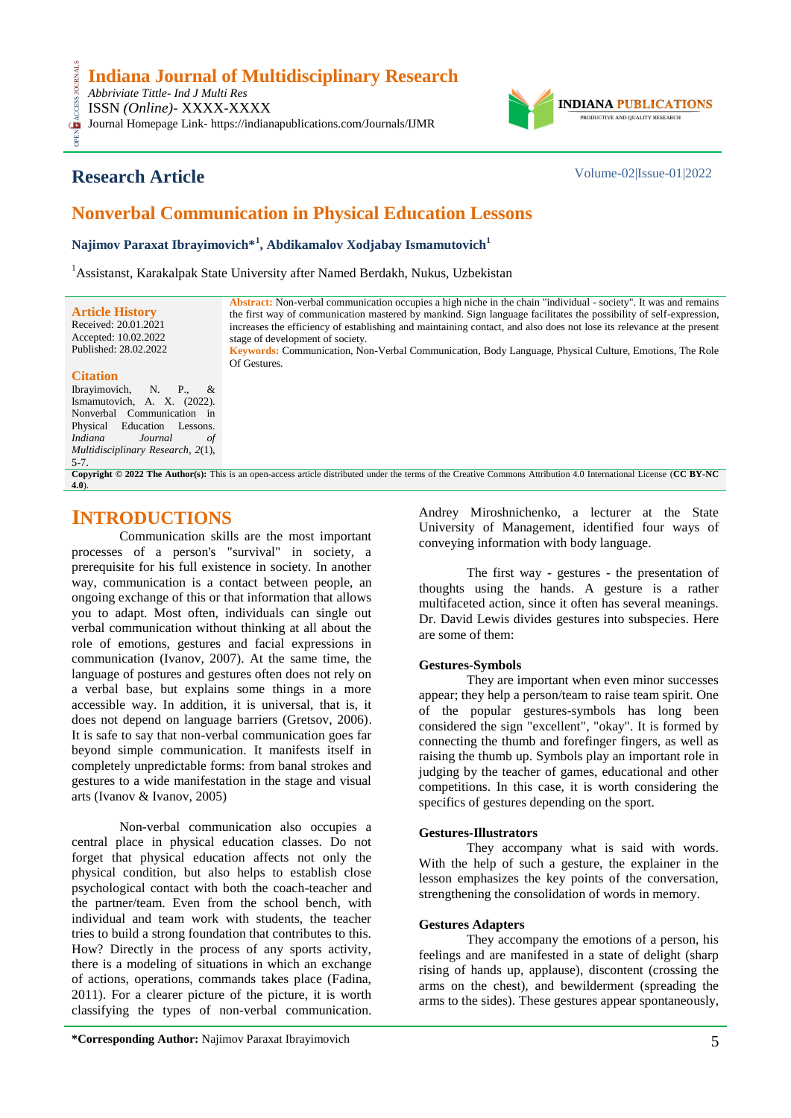*Abbriviate Tittle- Ind J Multi Res* ISSN *(Online)*- XXXX-XXXX

OPEN ACCESS JOURNALS **CESS** Journal Homepage Link- https://indianapublications.com/Journals/IJMR



# **Research Article** Volume-02|Issue-01|2022

# **Nonverbal Communication in Physical Education Lessons**

**Najimov Paraxat Ibrayimovich\*<sup>1</sup> , Abdikamalov Xodjabay Ismamutovich<sup>1</sup>**

<sup>1</sup> Assistanst, Karakalpak State University after Named Berdakh, Nukus, Uzbekistan

| <b>Article History</b><br>Received: 20.01.2021<br>Accepted: 10.02.2022<br>Published: 28.02.2022 | <b>Abstract:</b> Non-verbal communication occupies a high niche in the chain "individual - society". It was and remains<br>the first way of communication mastered by mankind. Sign language facilitates the possibility of self-expression,<br>increases the efficiency of establishing and maintaining contact, and also does not lose its relevance at the present<br>stage of development of society.<br>Keywords: Communication, Non-Verbal Communication, Body Language, Physical Culture, Emotions, The Role |
|-------------------------------------------------------------------------------------------------|---------------------------------------------------------------------------------------------------------------------------------------------------------------------------------------------------------------------------------------------------------------------------------------------------------------------------------------------------------------------------------------------------------------------------------------------------------------------------------------------------------------------|
| <b>Citation</b>                                                                                 | Of Gestures.                                                                                                                                                                                                                                                                                                                                                                                                                                                                                                        |

### **Citation**

Ibrayimovich, N. P., & Ismamutovich, A. X. (2022). Nonverbal Communication in Physical Education Lessons. *Indiana Journal of Multidisciplinary Research, 2*(1), 5-7.

**Copyright © 2022 The Author(s):** This is an open-access article distributed under the terms of the Creative Commons Attribution 4.0 International License (**[CC BY-NC](https://creativecommons.org/licenses/by-nc/4.0/)  [4.0](https://creativecommons.org/licenses/by-nc/4.0/)**).

## **INTRODUCTIONS**

Communication skills are the most important processes of a person's "survival" in society, a prerequisite for his full existence in society. In another way, communication is a contact between people, an ongoing exchange of this or that information that allows you to adapt. Most often, individuals can single out verbal communication without thinking at all about the role of emotions, gestures and facial expressions in communication (Ivanov, 2007). At the same time, the language of postures and gestures often does not rely on a verbal base, but explains some things in a more accessible way. In addition, it is universal, that is, it does not depend on language barriers (Gretsov, 2006). It is safe to say that non-verbal communication goes far beyond simple communication. It manifests itself in completely unpredictable forms: from banal strokes and gestures to a wide manifestation in the stage and visual arts (Ivanov & Ivanov, 2005)

Non-verbal communication also occupies a central place in physical education classes. Do not forget that physical education affects not only the physical condition, but also helps to establish close psychological contact with both the coach-teacher and the partner/team. Even from the school bench, with individual and team work with students, the teacher tries to build a strong foundation that contributes to this. How? Directly in the process of any sports activity, there is a modeling of situations in which an exchange of actions, operations, commands takes place (Fadina, 2011). For a clearer picture of the picture, it is worth classifying the types of non-verbal communication.

Andrey Miroshnichenko, a lecturer at the State University of Management, identified four ways of conveying information with body language.

The first way - gestures - the presentation of thoughts using the hands. A gesture is a rather multifaceted action, since it often has several meanings. Dr. David Lewis divides gestures into subspecies. Here are some of them:

## **Gestures-Symbols**

They are important when even minor successes appear; they help a person/team to raise team spirit. One of the popular gestures-symbols has long been considered the sign "excellent", "okay". It is formed by connecting the thumb and forefinger fingers, as well as raising the thumb up. Symbols play an important role in judging by the teacher of games, educational and other competitions. In this case, it is worth considering the specifics of gestures depending on the sport.

### **Gestures-Illustrators**

They accompany what is said with words. With the help of such a gesture, the explainer in the lesson emphasizes the key points of the conversation, strengthening the consolidation of words in memory.

### **Gestures Adapters**

They accompany the emotions of a person, his feelings and are manifested in a state of delight (sharp rising of hands up, applause), discontent (crossing the arms on the chest), and bewilderment (spreading the arms to the sides). These gestures appear spontaneously,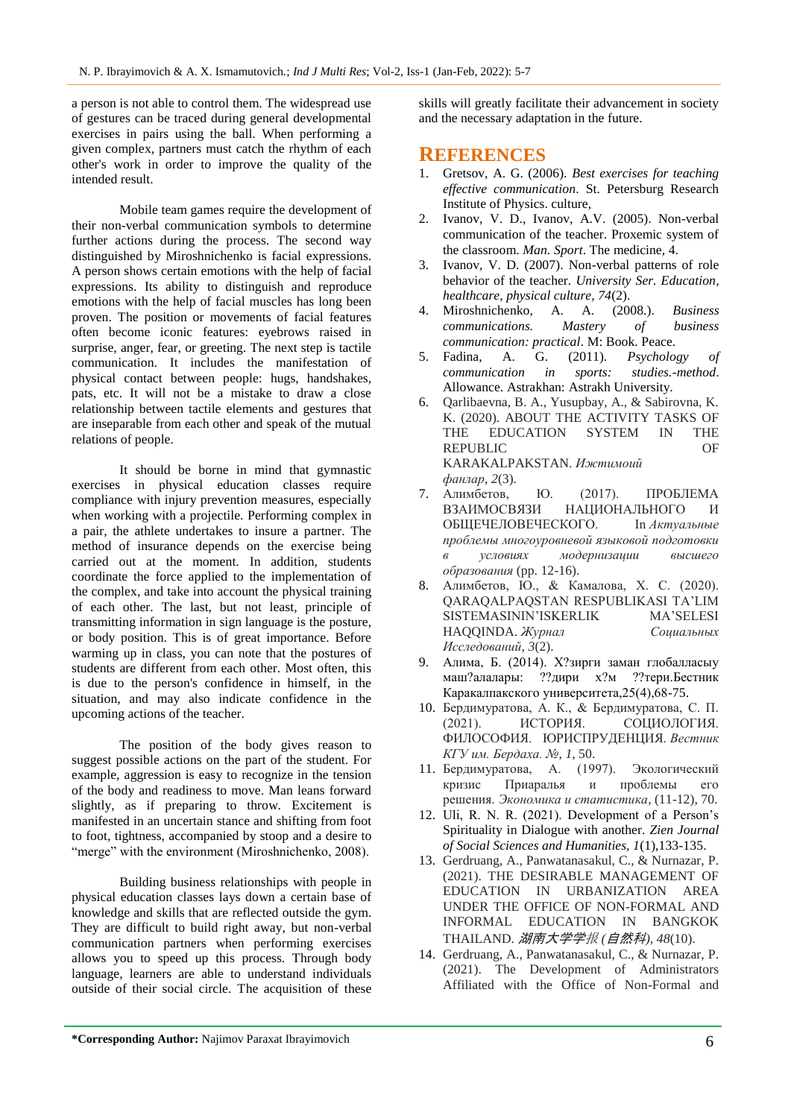a person is not able to control them. The widespread use of gestures can be traced during general developmental exercises in pairs using the ball. When performing a given complex, partners must catch the rhythm of each other's work in order to improve the quality of the intended result.

Mobile team games require the development of their non-verbal communication symbols to determine further actions during the process. The second way distinguished by Miroshnichenko is facial expressions. A person shows certain emotions with the help of facial expressions. Its ability to distinguish and reproduce emotions with the help of facial muscles has long been proven. The position or movements of facial features often become iconic features: eyebrows raised in surprise, anger, fear, or greeting. The next step is tactile communication. It includes the manifestation of physical contact between people: hugs, handshakes, pats, etc. It will not be a mistake to draw a close relationship between tactile elements and gestures that are inseparable from each other and speak of the mutual relations of people.

It should be borne in mind that gymnastic exercises in physical education classes require compliance with injury prevention measures, especially when working with a projectile. Performing complex in a pair, the athlete undertakes to insure a partner. The method of insurance depends on the exercise being carried out at the moment. In addition, students coordinate the force applied to the implementation of the complex, and take into account the physical training of each other. The last, but not least, principle of transmitting information in sign language is the posture, or body position. This is of great importance. Before warming up in class, you can note that the postures of students are different from each other. Most often, this is due to the person's confidence in himself, in the situation, and may also indicate confidence in the upcoming actions of the teacher.

The position of the body gives reason to suggest possible actions on the part of the student. For example, aggression is easy to recognize in the tension of the body and readiness to move. Man leans forward slightly, as if preparing to throw. Excitement is manifested in an uncertain stance and shifting from foot to foot, tightness, accompanied by stoop and a desire to "merge" with the environment (Miroshnichenko, 2008).

Building business relationships with people in physical education classes lays down a certain base of knowledge and skills that are reflected outside the gym. They are difficult to build right away, but non-verbal communication partners when performing exercises allows you to speed up this process. Through body language, learners are able to understand individuals outside of their social circle. The acquisition of these

skills will greatly facilitate their advancement in society and the necessary adaptation in the future.

## **REFERENCES**

- 1. Gretsov, A. G. (2006). *Best exercises for teaching effective communication*. St. Petersburg Research Institute of Physics. culture,
- 2. Ivanov, V. D., Ivanov, A.V. (2005). Non-verbal communication of the teacher. Proxemic system of the classroom. *Man. Sport*. The medicine, 4.
- 3. Ivanov, V. D. (2007). Non-verbal patterns of role behavior of the teacher. *University Ser. Education, healthcare, physical culture, 74*(2).
- 4. Miroshnichenko, A. A. (2008.). *Business communications. Mastery of business communication: practical*. M: Book. Peace.
- 5. Fadina, A. G. (2011). *Psychology of communication in sports: studies.-method*. Allowance. Astrakhan: Astrakh University.
- 6. Qarlibaevna, B. A., Yusupbay, A., & Sabirovna, K. K. (2020). ABOUT THE ACTIVITY TASKS OF THE EDUCATION SYSTEM IN THE REPUBLIC OF KARAKALPAKSTAN. *Ижтимоий фанлар*, *2*(3).
- 7. Алимбетов, Ю. (2017). ПРОБЛЕМА ВЗАИМОСВЯЗИ НАЦИОНАЛЬНОГО И ОБЩЕЧЕЛОВЕЧЕСКОГО. In *Актуальные проблемы многоуровневой языковой подготовки в условиях модернизации высшего образования* (pp. 12-16).
- 8. Алимбетов, Ю., & Камалова, Х. С. (2020). QARAQALPAQSTAN RESPUBLIKASI TA'LIM SISTEMASININ'ISKERLIK MA'SELESI HAQQINDA. *Журнал Социальных Исследований*, *3*(2).
- 9. Алима, Б. (2014). Х?зирги заман глобалласыу маш?алалары: ??дири х?м ??тери.Бестник Каракалпакского университета,25(4),68-75.
- 10. Бердимуратова, А. К., & Бердимуратова, С. П. (2021). ИСТОРИЯ. СОЦИОЛОГИЯ. ФИЛОСОФИЯ. ЮРИСПРУДЕНЦИЯ. *Вестник КГУ им. Бердаха. №*, *1*, 50.
- 11. Бердимуратова, А. (1997). Экологический кризис Приаралья и проблемы его решения. *Экономика и статистика*, (11-12), 70.
- 12. Uli, R. N. R. (2021). Development of a Person's Spirituality in Dialogue with another. *Zien Journal of Social Sciences and Humanities, 1*(1),133-135.
- 13. Gerdruang, A., Panwatanasakul, C., & Nurnazar, P. (2021). THE DESIRABLE MANAGEMENT OF EDUCATION IN URBANIZATION AREA UNDER THE OFFICE OF NON-FORMAL AND INFORMAL EDUCATION IN BANGKOK THAILAND. 湖南大学学报 *(*自然科*)*, *48*(10).
- 14. Gerdruang, A., Panwatanasakul, C., & Nurnazar, P. (2021). The Development of Administrators Affiliated with the Office of Non-Formal and